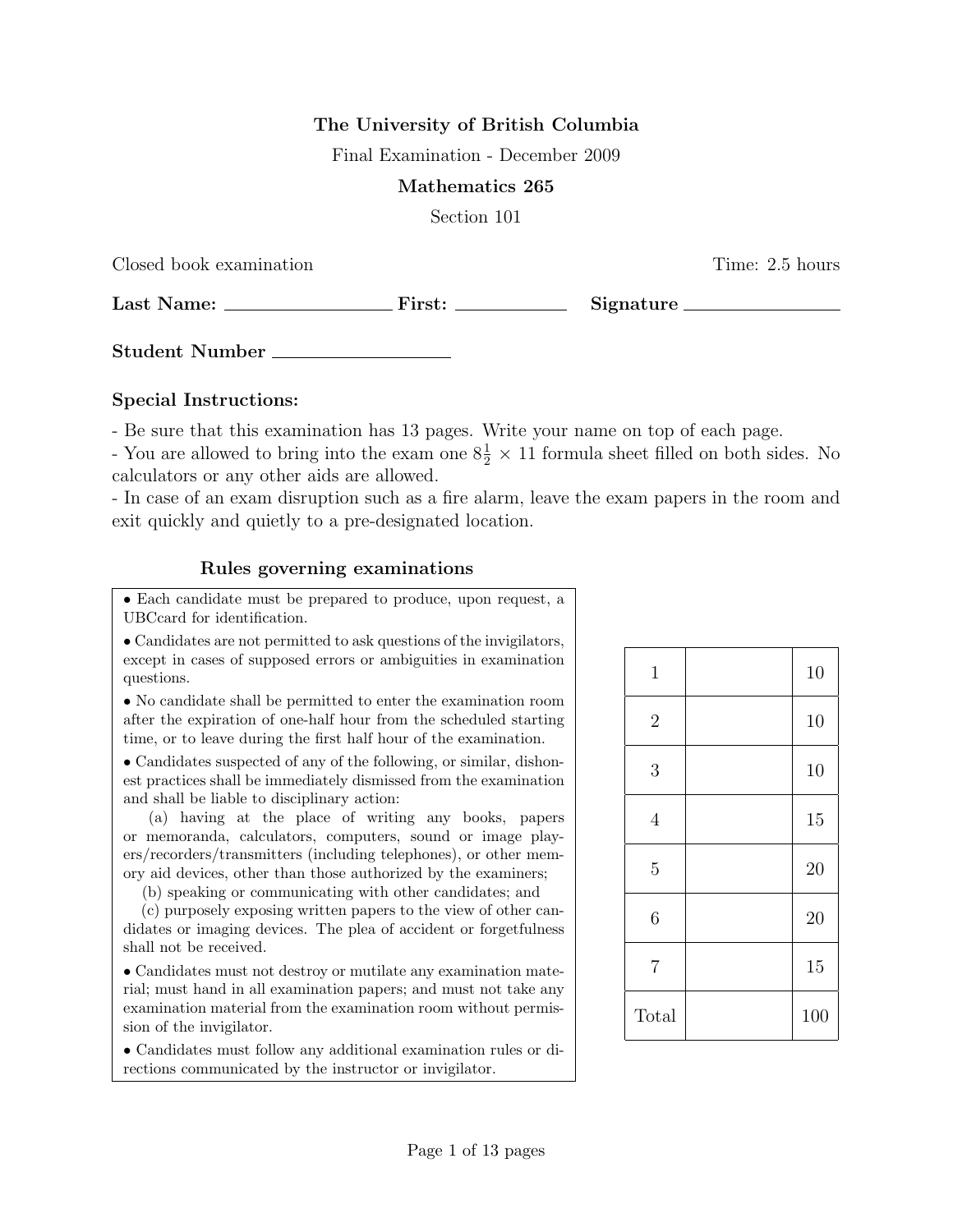## The University of British Columbia

Final Examination - December 2009

#### Mathematics 265

Section 101

Closed book examination Time: 2.5 hours

Last Name: First: Signature

Student Number

### Special Instructions:

- Be sure that this examination has 13 pages. Write your name on top of each page.

- You are allowed to bring into the exam one  $8\frac{1}{2} \times 11$  formula sheet filled on both sides. No calculators or any other aids are allowed.

- In case of an exam disruption such as a fire alarm, leave the exam papers in the room and exit quickly and quietly to a pre-designated location.

### Rules governing examinations

• Each candidate must be prepared to produce, upon request, a UBCcard for identification.

• Candidates are not permitted to ask questions of the invigilators, except in cases of supposed errors or ambiguities in examination questions.

• No candidate shall be permitted to enter the examination room after the expiration of one-half hour from the scheduled starting time, or to leave during the first half hour of the examination.

• Candidates suspected of any of the following, or similar, dishonest practices shall be immediately dismissed from the examination and shall be liable to disciplinary action:

(a) having at the place of writing any books, papers or memoranda, calculators, computers, sound or image players/recorders/transmitters (including telephones), or other memory aid devices, other than those authorized by the examiners;

(b) speaking or communicating with other candidates; and

(c) purposely exposing written papers to the view of other candidates or imaging devices. The plea of accident or forgetfulness shall not be received.

• Candidates must not destroy or mutilate any examination material; must hand in all examination papers; and must not take any examination material from the examination room without permission of the invigilator.

• Candidates must follow any additional examination rules or directions communicated by the instructor or invigilator.

| $\mathbf{1}$   | 10  |
|----------------|-----|
| $\overline{2}$ | 10  |
| 3              | 10  |
| $\sqrt{4}$     | 15  |
| $\overline{5}$ | 20  |
| $\sqrt{6}$     | 20  |
| $\overline{7}$ | 15  |
| Total          | 100 |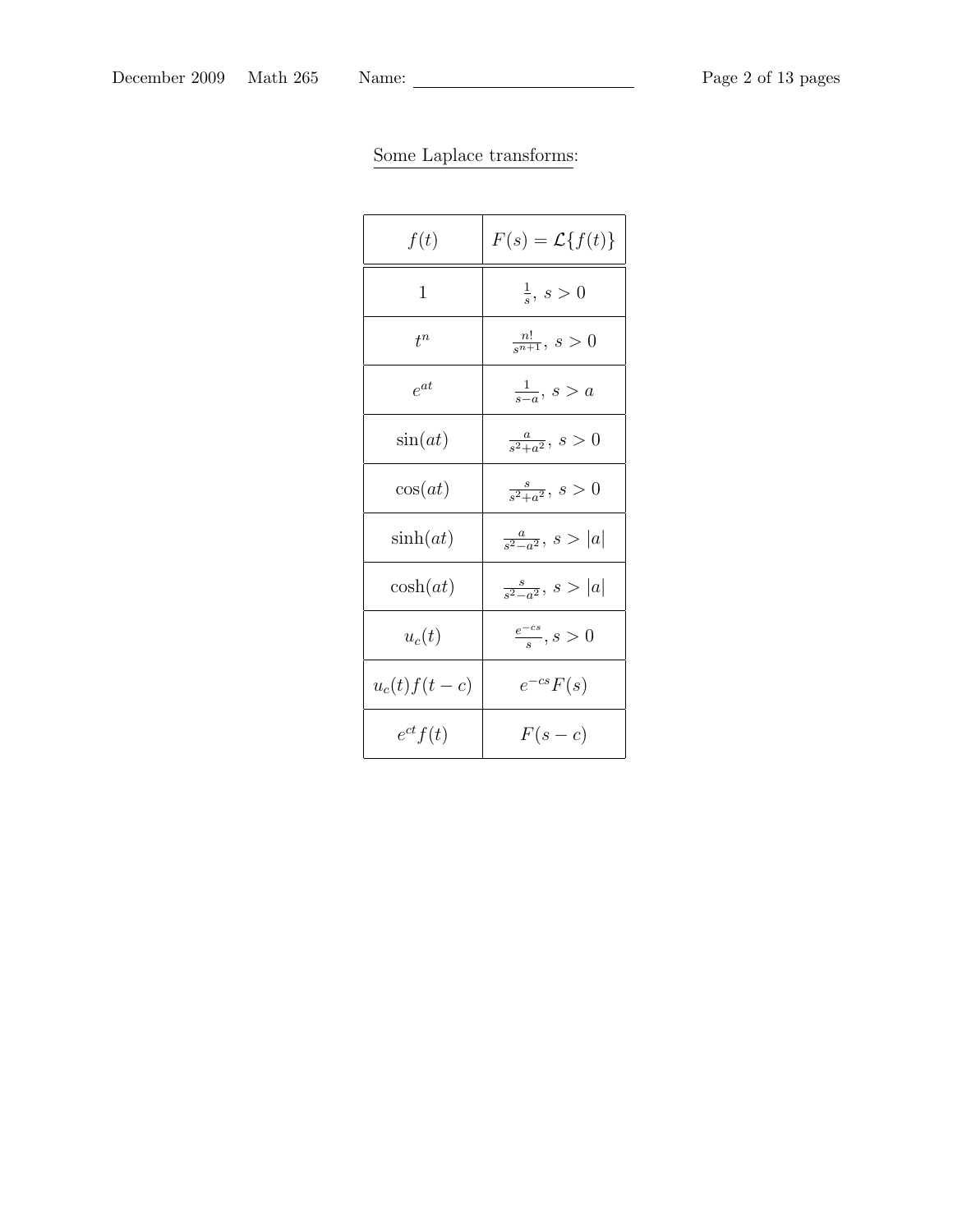| f(t)            | $F(s) = \mathcal{L}{f(t)}$   |
|-----------------|------------------------------|
| 1               | $\frac{1}{s}, s > 0$         |
| $t^n$           | $\frac{n!}{s^{n+1}}, s > 0$  |
| $e^{at}$        | $\frac{1}{s-a}$ , $s > a$    |
| sin(at)         | $\frac{a}{s^2+a^2}, s > 0$   |
| cos(at)         | $\frac{s}{s^2+a^2}, s > 0$   |
| $\sinh(at)$     | $\frac{a}{s^2-a^2}, s >  a $ |
| $\cosh(at)$     | $\frac{s}{s^2-a^2}, s >  a $ |
| $u_c(t)$        | $\frac{e^{-cs}}{s}, s > 0$   |
| $u_c(t) f(t-c)$ | $e^{-cs}F(s)$                |
| $e^{ct}f(t)$    | $F(s-c)$                     |

# Some Laplace transforms: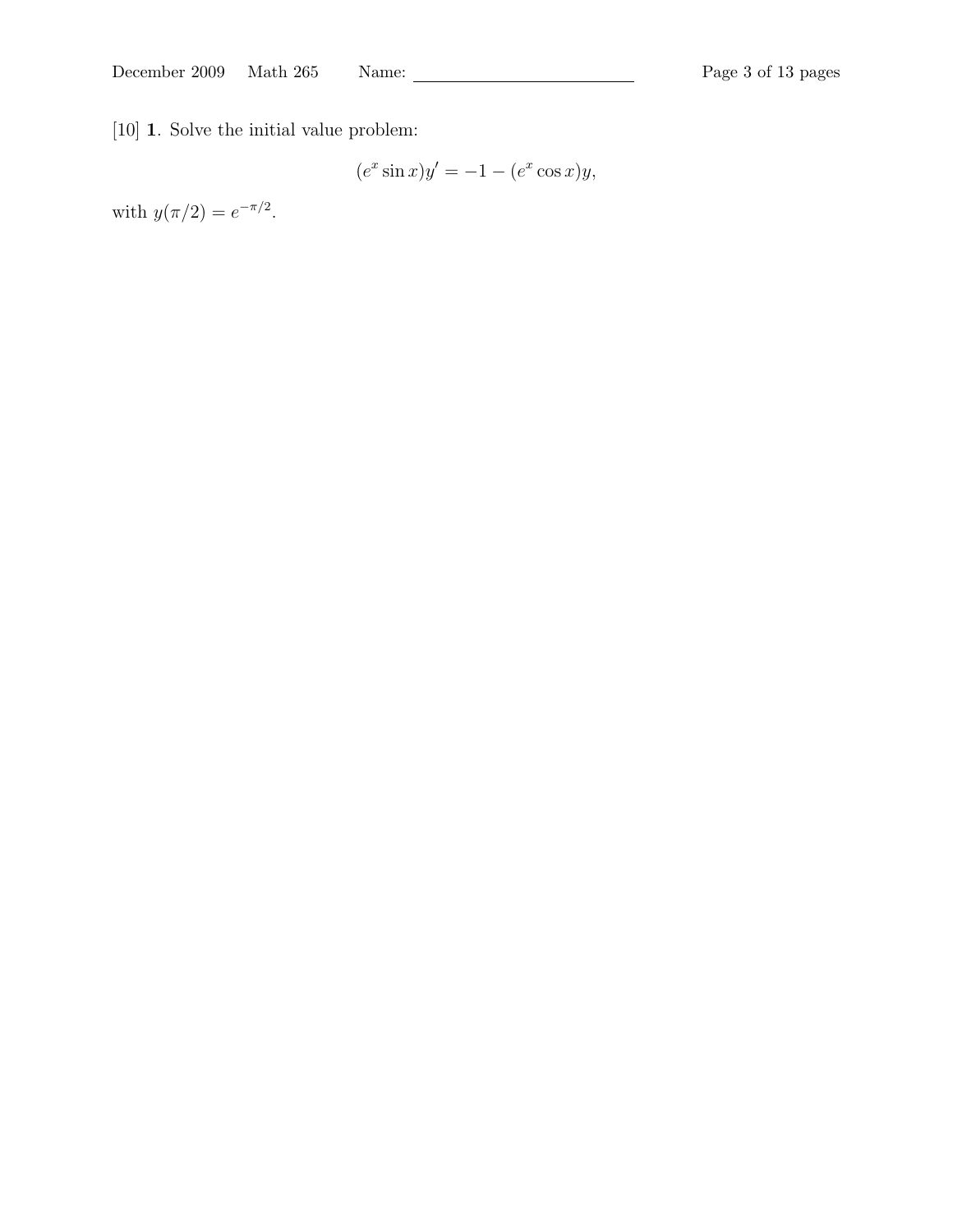[10] 1. Solve the initial value problem:

$$
(e^x \sin x)y' = -1 - (e^x \cos x)y,
$$

with  $y(\pi/2) = e^{-\pi/2}$ .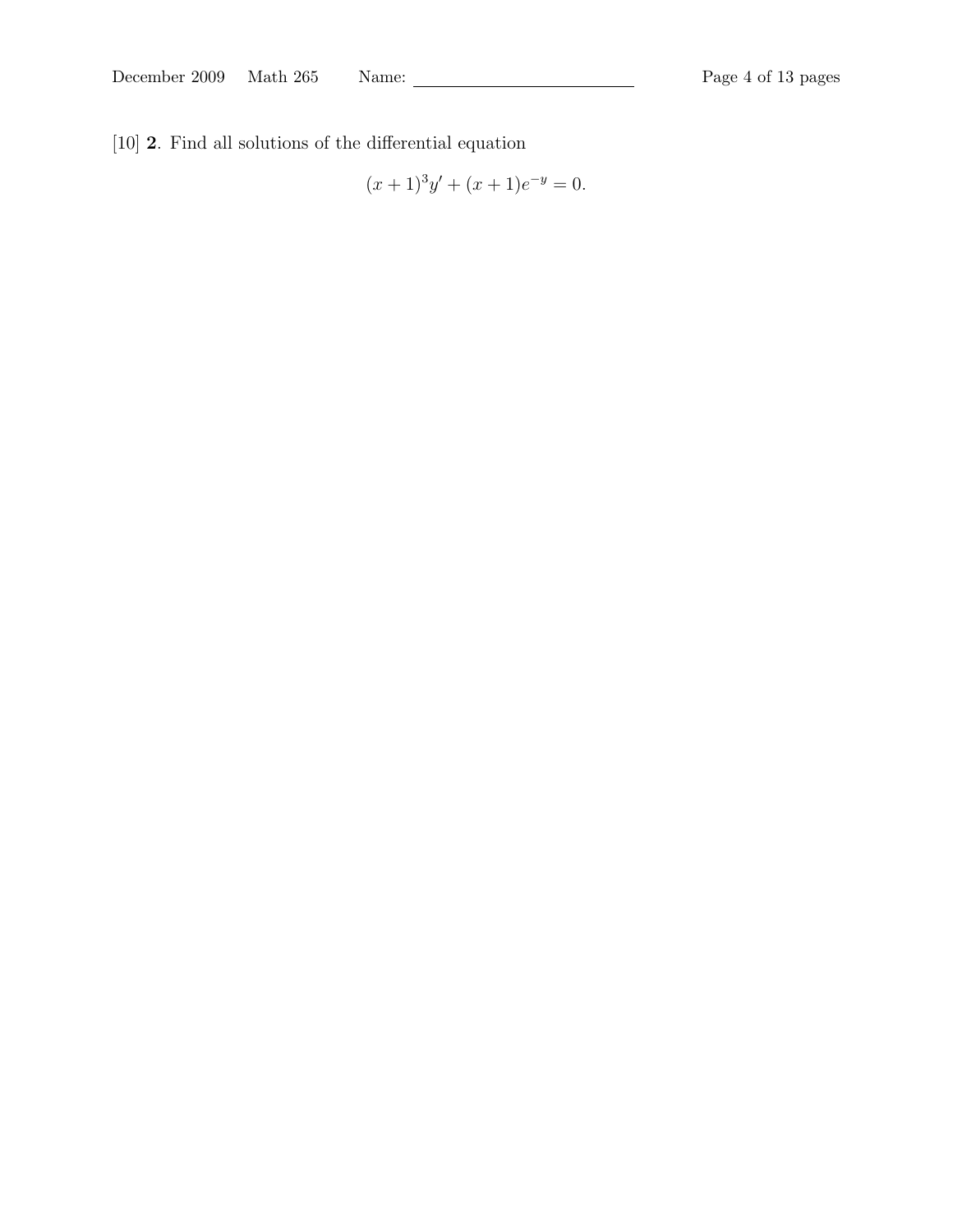[10] 2. Find all solutions of the differential equation

$$
(x+1)^3y' + (x+1)e^{-y} = 0.
$$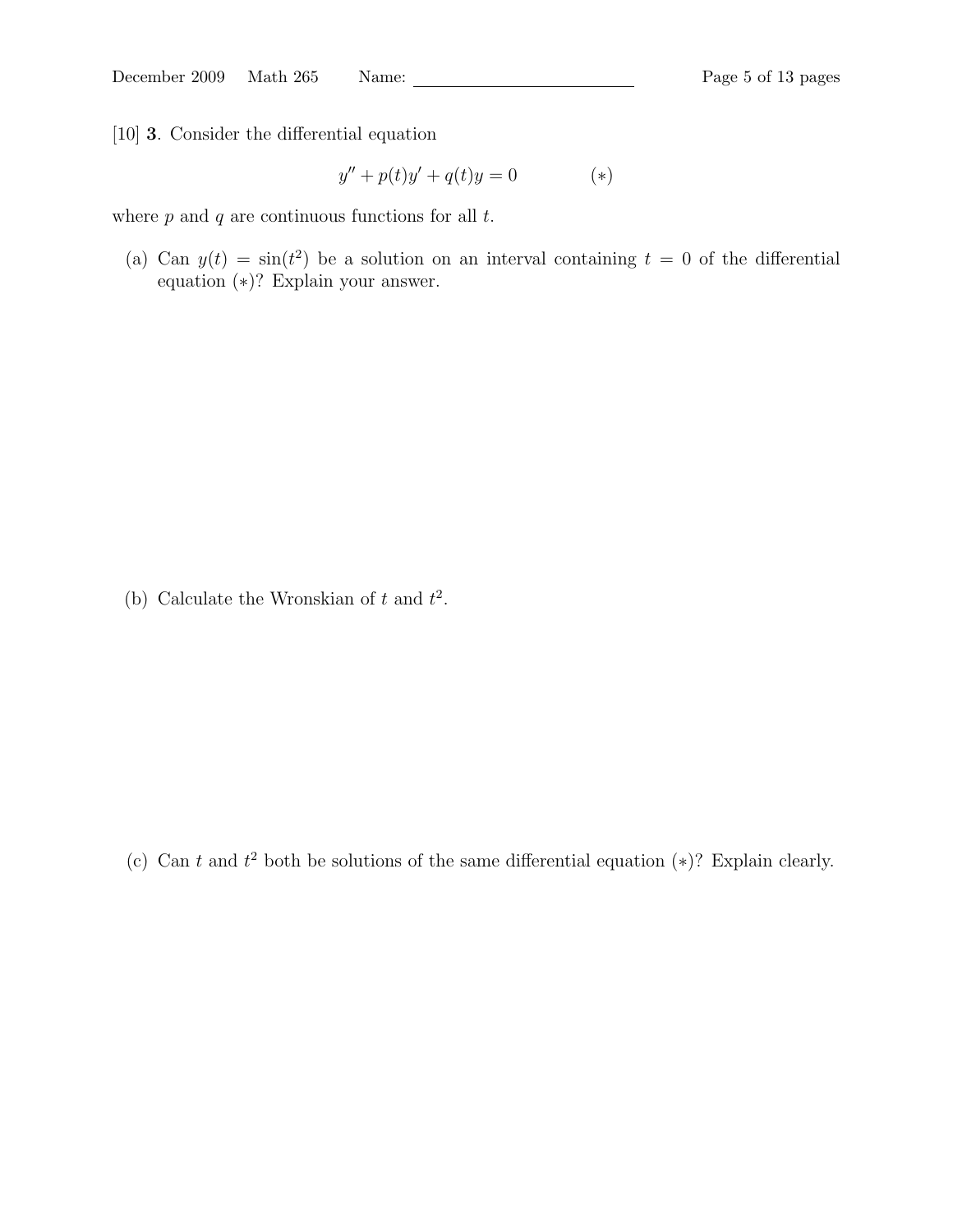[10] 3. Consider the differential equation

$$
y'' + p(t)y' + q(t)y = 0 \tag{*}
$$

where  $p$  and  $q$  are continuous functions for all  $t$ .

(a) Can  $y(t) = \sin(t^2)$  be a solution on an interval containing  $t = 0$  of the differential equation (∗)? Explain your answer.

(b) Calculate the Wronskian of t and  $t^2$ .

(c) Can t and  $t^2$  both be solutions of the same differential equation  $(*)$ ? Explain clearly.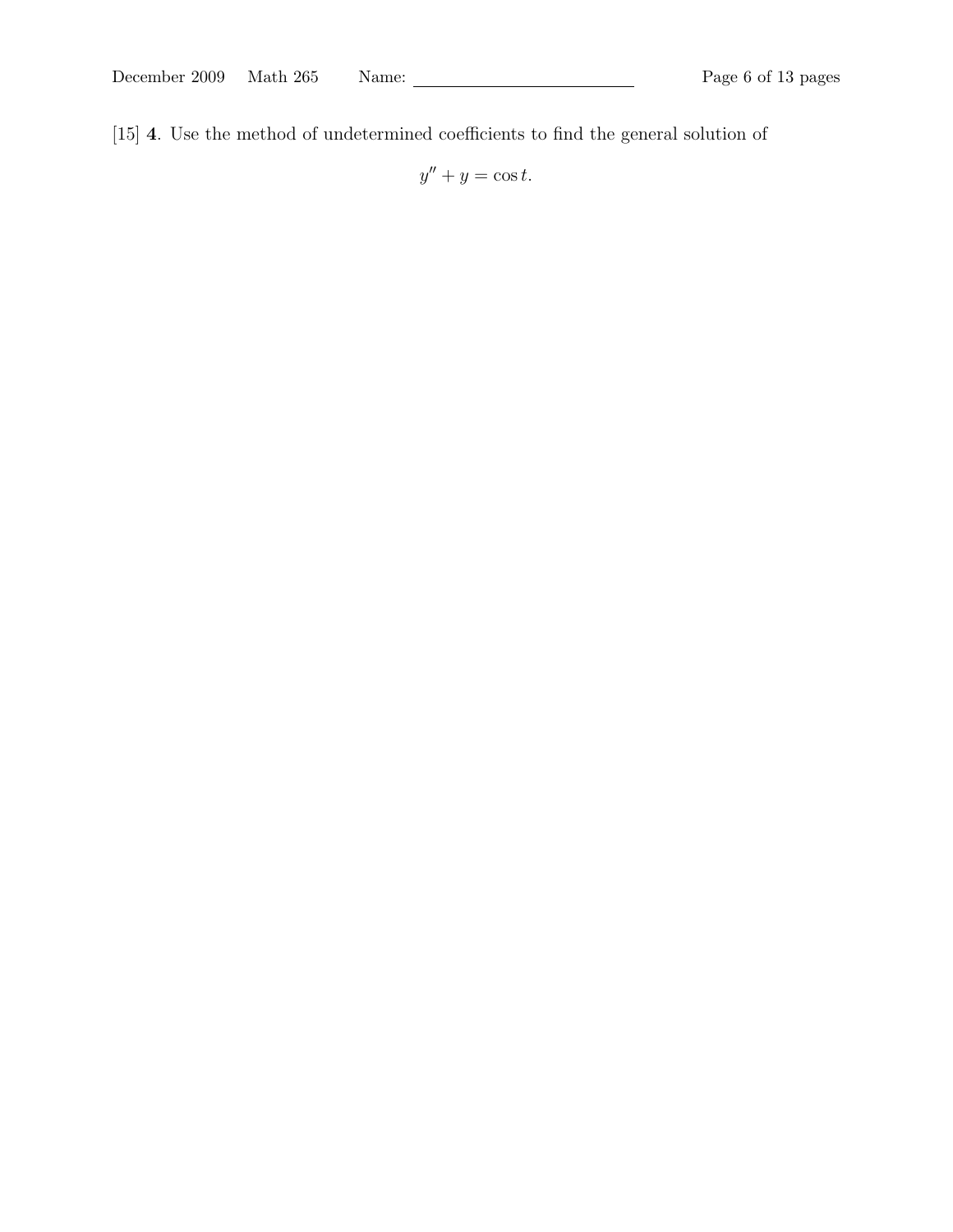[15] 4. Use the method of undetermined coefficients to find the general solution of

 $y'' + y = \cos t.$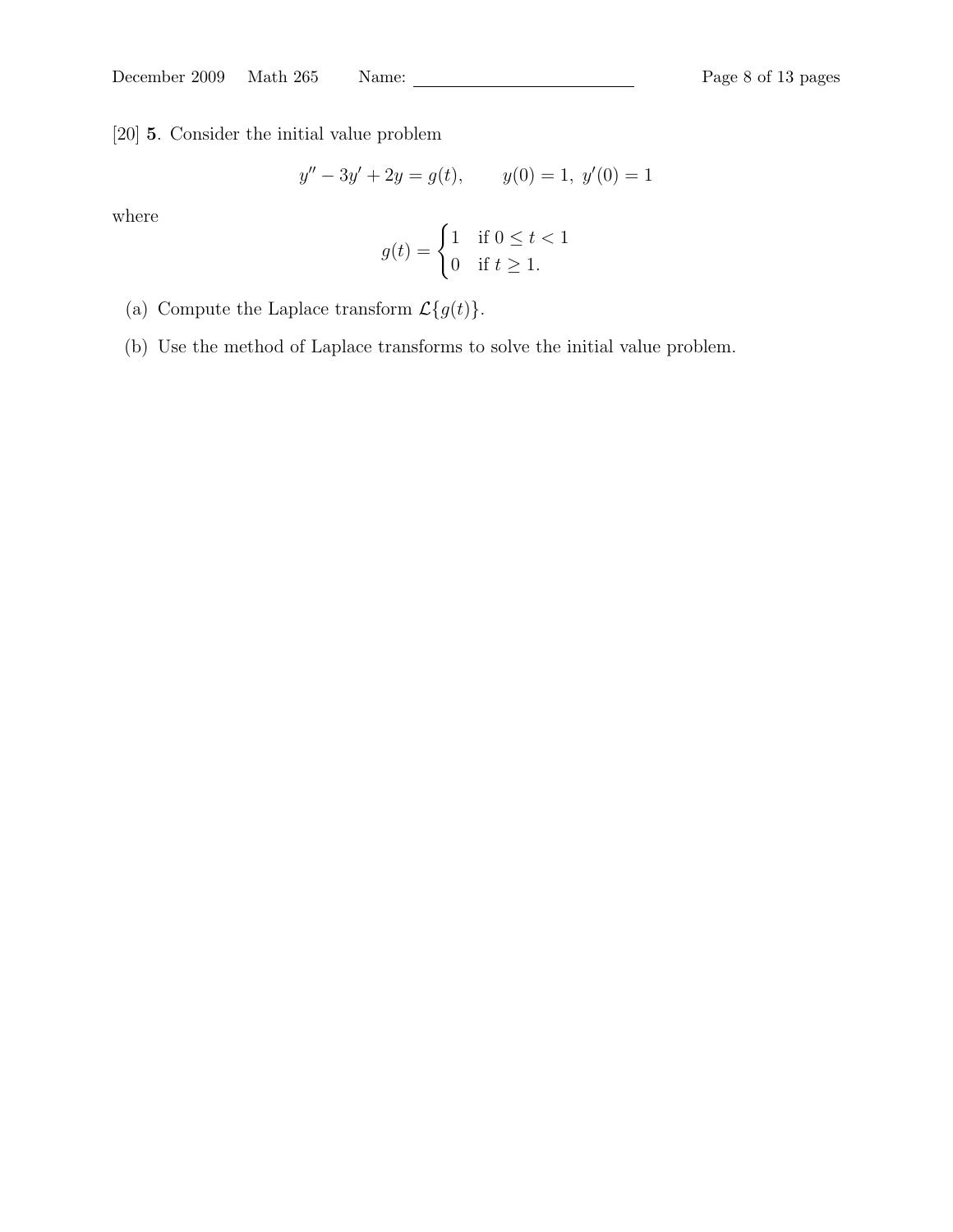[20] 5. Consider the initial value problem

$$
y'' - 3y' + 2y = g(t), \t y(0) = 1, y'(0) = 1
$$

where

$$
g(t) = \begin{cases} 1 & \text{if } 0 \le t < 1 \\ 0 & \text{if } t \ge 1. \end{cases}
$$

- (a) Compute the Laplace transform  $\mathcal{L}\{g(t)\}.$
- (b) Use the method of Laplace transforms to solve the initial value problem.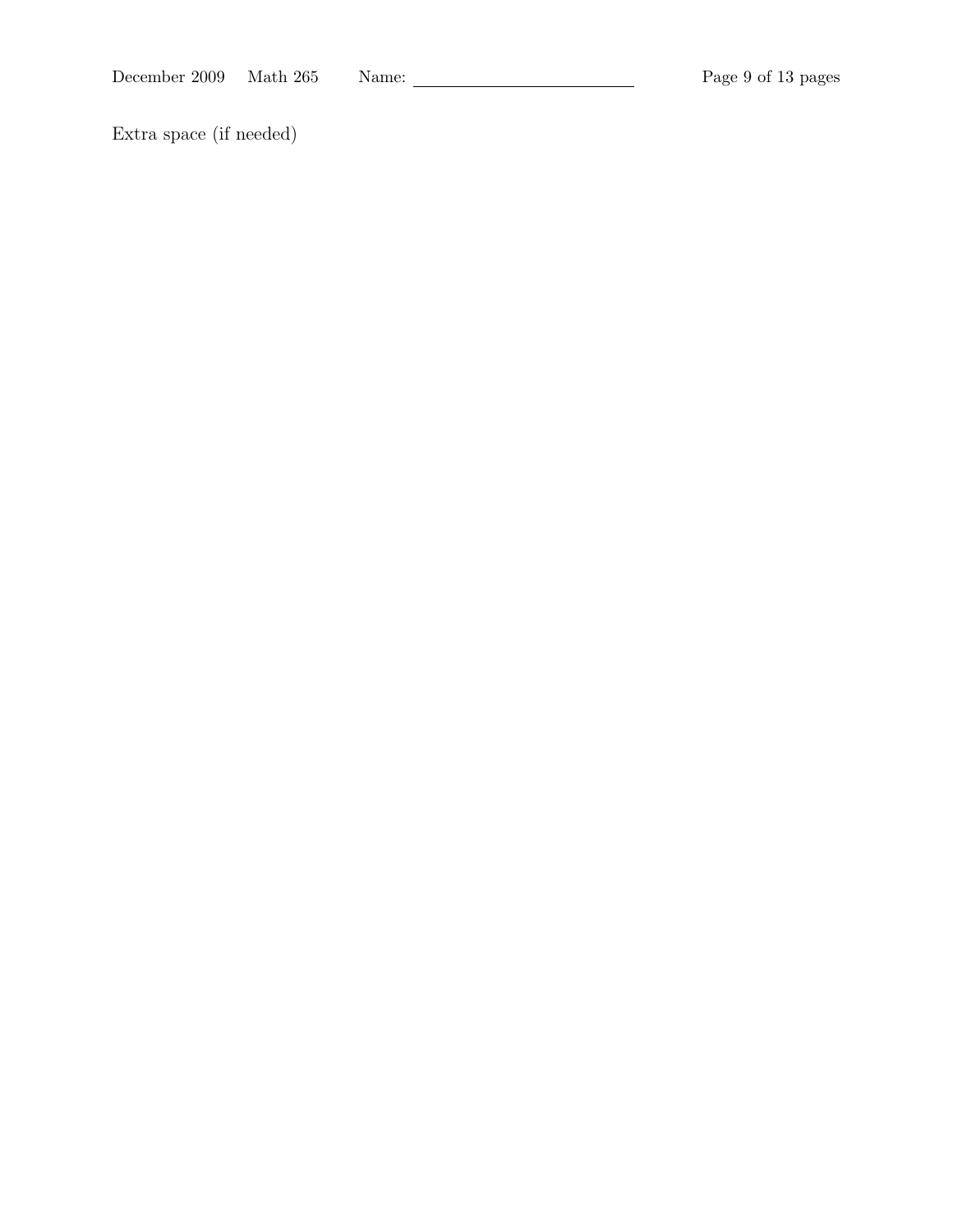December 2009 Math 265 Name: Page 9 of 13 pages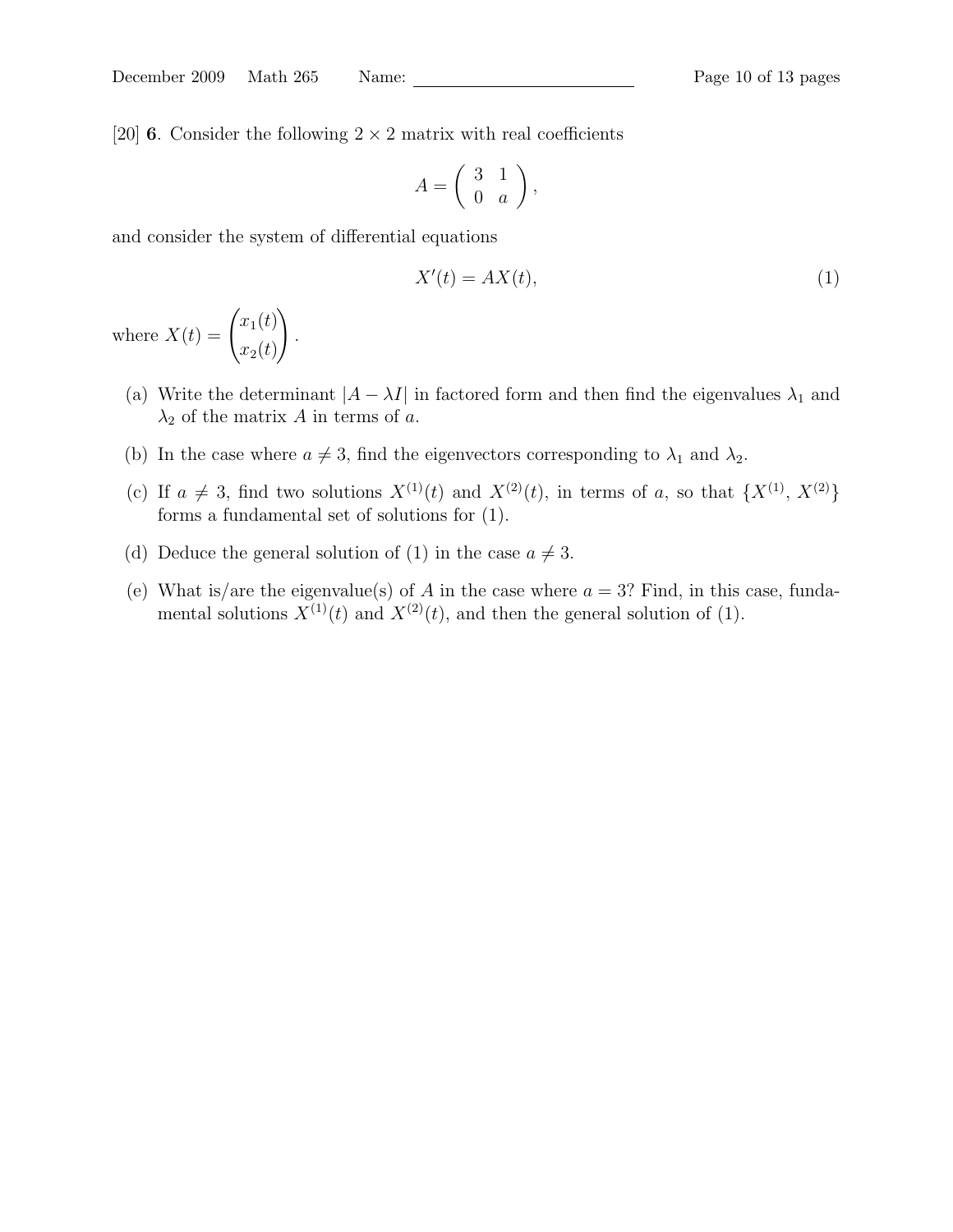[20] **6**. Consider the following  $2 \times 2$  matrix with real coefficients

$$
A = \left(\begin{array}{cc} 3 & 1 \\ 0 & a \end{array}\right),
$$

and consider the system of differential equations

$$
X'(t) = AX(t),\tag{1}
$$

where  $X(t) = \begin{pmatrix} x_1(t) \\ x_2(t) \end{pmatrix}$  $x_2(t)$  $\setminus$ .

- (a) Write the determinant  $|A \lambda I|$  in factored form and then find the eigenvalues  $\lambda_1$  and  $\lambda_2$  of the matrix A in terms of a.
- (b) In the case where  $a \neq 3$ , find the eigenvectors corresponding to  $\lambda_1$  and  $\lambda_2$ .
- (c) If  $a \neq 3$ , find two solutions  $X^{(1)}(t)$  and  $X^{(2)}(t)$ , in terms of a, so that  $\{X^{(1)}, X^{(2)}\}$ forms a fundamental set of solutions for (1).
- (d) Deduce the general solution of (1) in the case  $a \neq 3$ .
- (e) What is/are the eigenvalue(s) of A in the case where  $a = 3$ ? Find, in this case, fundamental solutions  $X^{(1)}(t)$  and  $X^{(2)}(t)$ , and then the general solution of (1).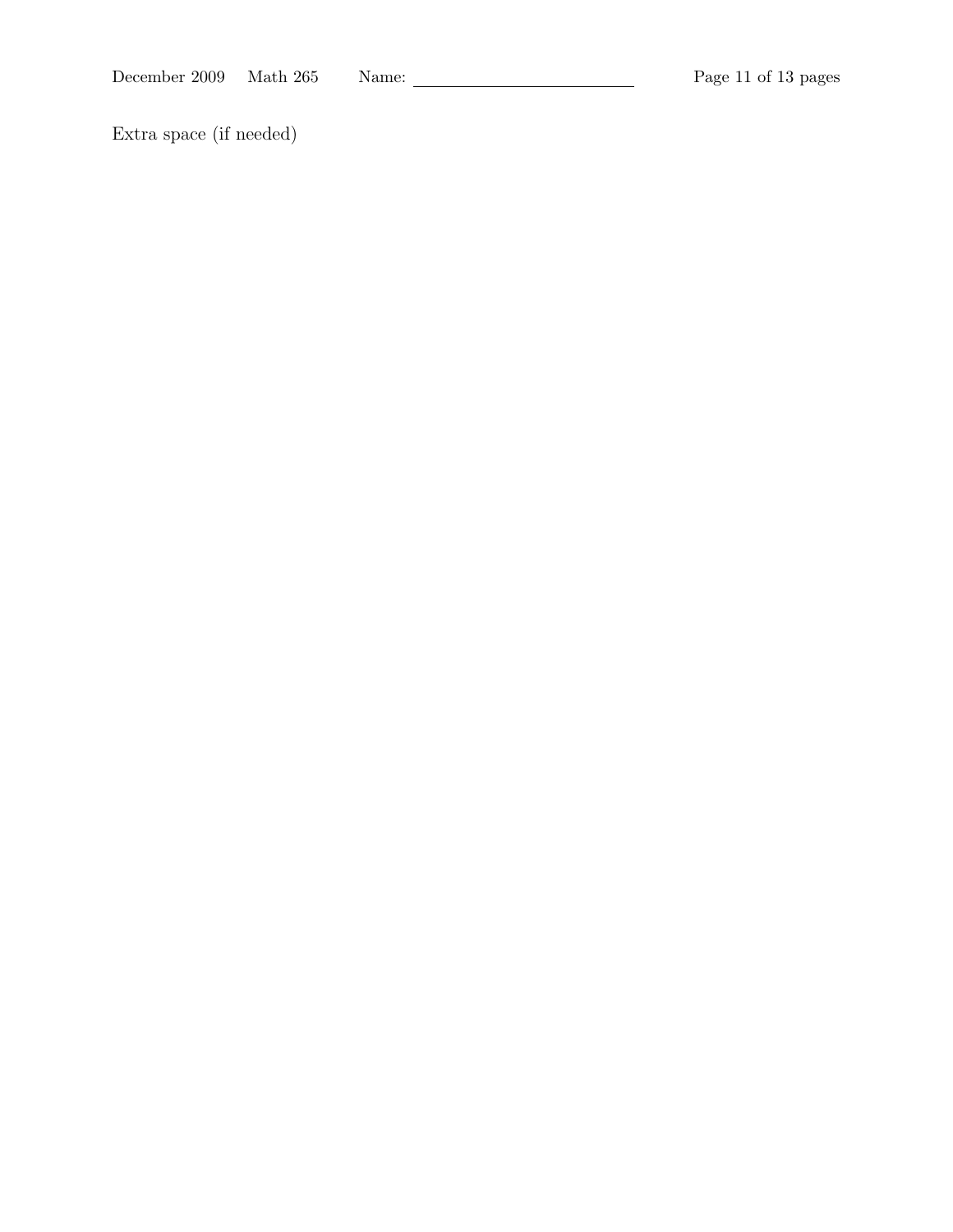December 2009 Math 265 Name: Page 11 of 13 pages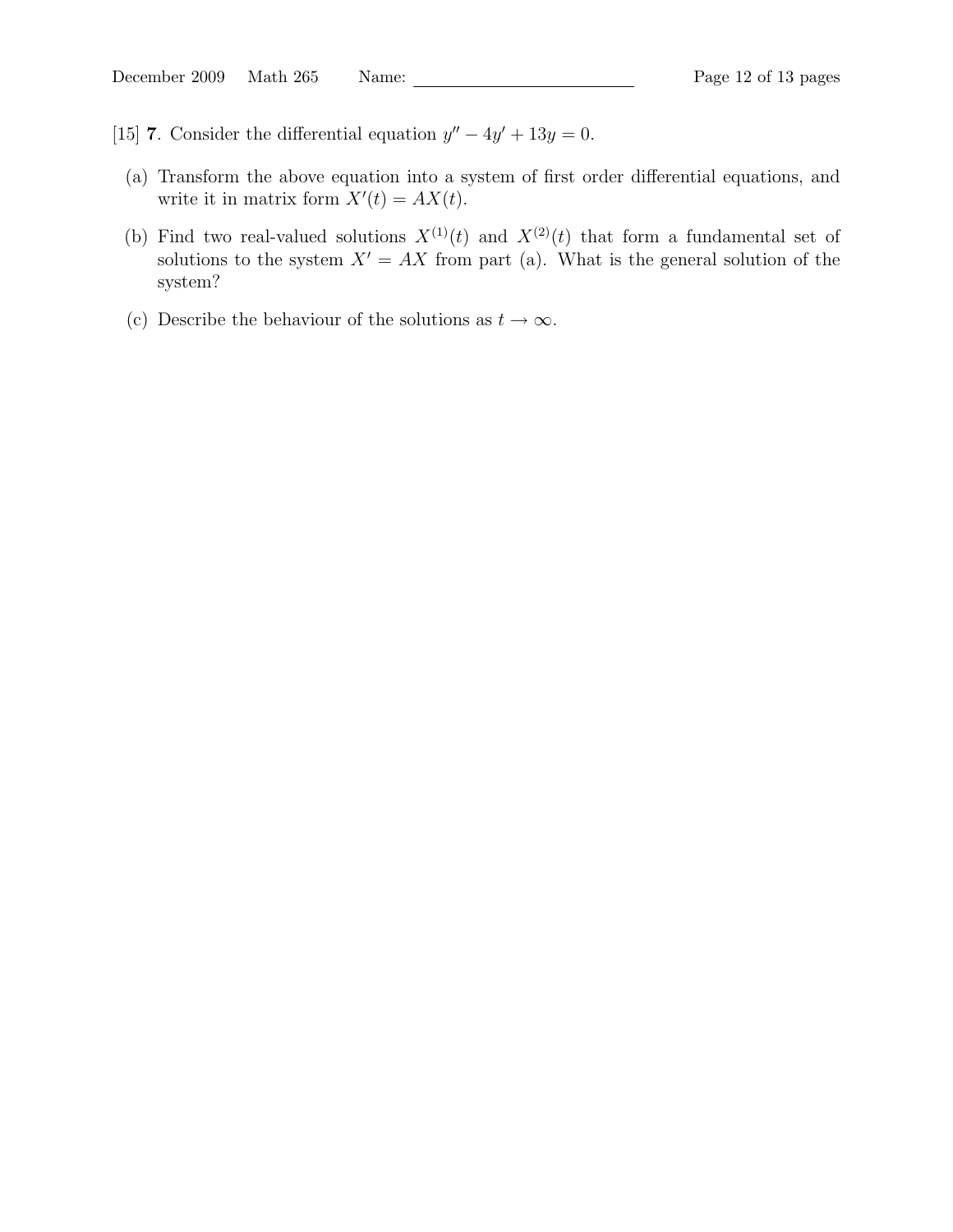- [15] **7**. Consider the differential equation  $y'' 4y' + 13y = 0$ .
- (a) Transform the above equation into a system of first order differential equations, and write it in matrix form  $X'(t) = AX(t)$ .
- (b) Find two real-valued solutions  $X^{(1)}(t)$  and  $X^{(2)}(t)$  that form a fundamental set of solutions to the system  $X' = AX$  from part (a). What is the general solution of the system?
- (c) Describe the behaviour of the solutions as  $t \to \infty$ .